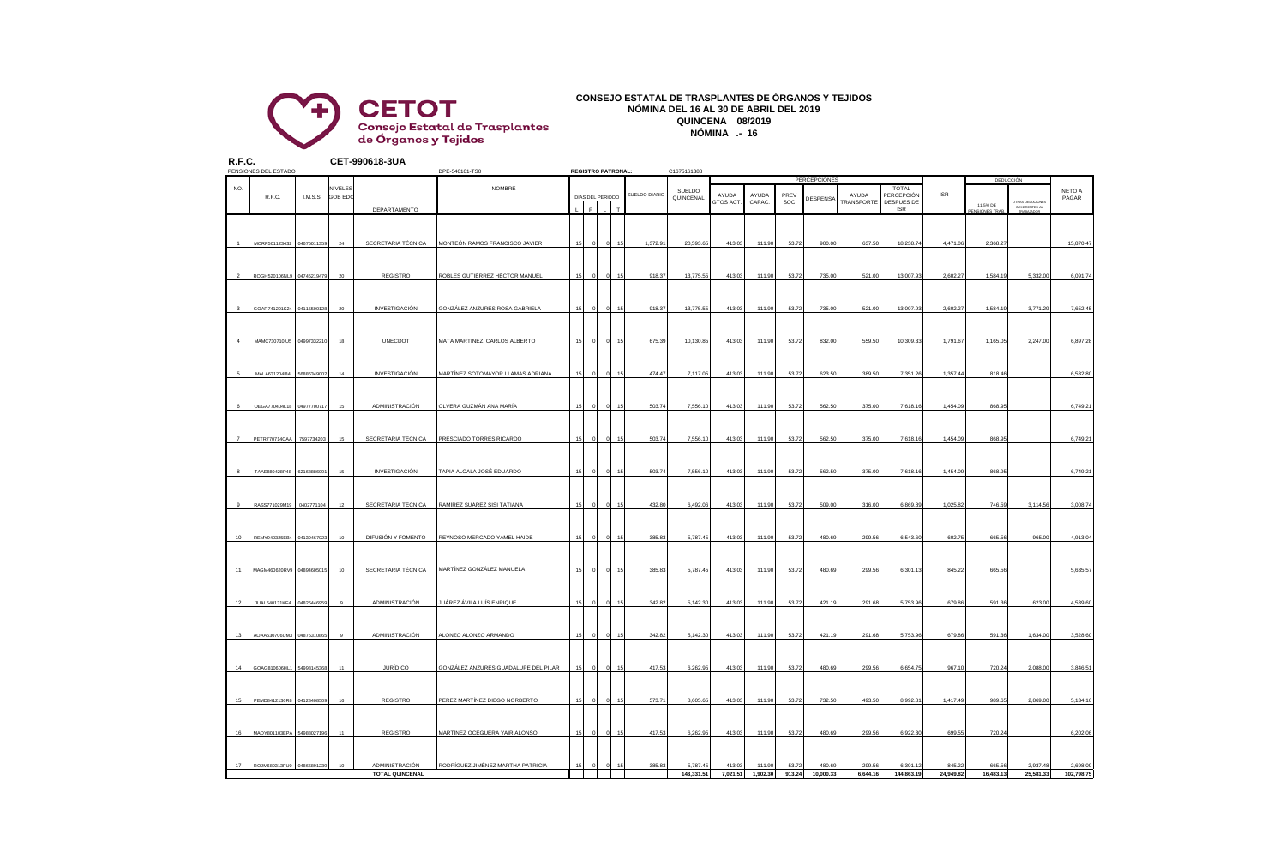

#### **CONSEJO ESTATAL DE TRASPLANTES DE ÓRGANOS Y TEJIDOS NÓMINA DEL 16 AL 30 DE ABRIL DEL 2019 QUINCENA 08/2019 NÓMINA .- 16**

| R.F.C.         | PENSIONES DEL ESTADO      |             |                           | CET-990618-3UA                           | DPE-540101-TS0                       | <b>REGISTRO PATRONAL:</b> |                  |          |    |               |                        | C1675161388        |                    |                 |                     |                     |                                          |                     |                     |                       |                        |  |
|----------------|---------------------------|-------------|---------------------------|------------------------------------------|--------------------------------------|---------------------------|------------------|----------|----|---------------|------------------------|--------------------|--------------------|-----------------|---------------------|---------------------|------------------------------------------|---------------------|---------------------|-----------------------|------------------------|--|
|                |                           |             |                           |                                          |                                      |                           |                  |          |    |               |                        |                    |                    |                 | <b>PERCEPCIONES</b> |                     |                                          |                     | <b>DEDUCCIÓN</b>    |                       |                        |  |
| NO.            | R.F.C.<br>I.M.S.S.        |             | VIVELES<br><b>GOB EDC</b> |                                          | NOMBRE                               |                           | DÍAS DEL PERIODO |          |    | SUELDO DIARIO | SUELDO<br>QUINCENAL    | AYUDA<br>GTOS ACT  | AYUDA<br>CAPAC.    | PREV<br>SOC     | DESPENSA            | AYUDA<br>TRANSPORTE | TOTAL<br>PERCEPCIÓN<br><b>DESPUES DE</b> | <b>ISR</b>          | 11.5% DE            | OTRAS DEDUCIONE       | NETO A<br>PAGAR        |  |
|                |                           |             |                           | DEPARTAMENTO                             |                                      |                           |                  |          |    |               |                        |                    |                    |                 |                     |                     | <b>ISR</b>                               |                     | PENSIONES TRAE      | INEHERENTES AL        |                        |  |
|                |                           |             |                           |                                          |                                      |                           |                  |          |    |               |                        |                    |                    |                 |                     |                     |                                          |                     |                     |                       |                        |  |
|                | MORF501123432 04675011359 |             | 24                        | SECRETARIA TÉCNICA                       | MONTEÓN RAMOS FRANCISCO JAVIER       |                           |                  |          |    | 1,372.9       | 20,593.65              | 413.03             | 111.90             | 53.72           | 900.00              | 637.5               | 18,238.74                                | 4,471.06            | 2,368.27            |                       | 15,870.47              |  |
|                |                           |             |                           |                                          |                                      |                           |                  |          |    |               |                        |                    |                    |                 |                     |                     |                                          |                     |                     |                       |                        |  |
| $\mathfrak{p}$ | <b>ROGH520106NLS</b>      | 0474521947  | $20\,$                    | <b>REGISTRO</b>                          | ROBLES GUTIÉRREZ HÉCTOR MANUEL       | 15                        |                  |          |    | 918.3         | 13,775.55              | 413.03             | 111.90             | 53.72           | 735.00              | 521.00              | 13,007.9                                 | 2,602.27            | 1,584.19            | 5,332.00              | 6,091.74               |  |
|                |                           |             |                           |                                          |                                      |                           |                  |          |    |               |                        |                    |                    |                 |                     |                     |                                          |                     |                     |                       |                        |  |
| $\mathbf{3}$   | GOAR741201S24 04115500128 |             | 20                        | <b>INVESTIGACIÓN</b>                     | GONZÁLEZ ANZURES ROSA GABRIELA       | 15                        |                  |          |    | 918.37        | 13,775.55              | 413.03             | 111.90             | 53.72           | 735.00              | 521.00              | 13,007.93                                | 2,602.27            | 1,584.19            | 3,771.29              | 7,652.45               |  |
|                |                           |             |                           |                                          |                                      |                           |                  |          |    |               |                        |                    |                    |                 |                     |                     |                                          |                     |                     |                       |                        |  |
|                | MAMC730710IU5 0499733221  |             | 18                        | UNECDOT                                  | MATA MARTINEZ CARLOS ALBERTO         | 15                        |                  |          |    | 675.3         | 10,130.85              | 413.03             | 111.90             | 53.72           | 832.00              | 559.50              | 10,309.33                                | 1,791.67            | 1,165.05            | 2,247.00              | 6,897.28               |  |
|                |                           |             |                           |                                          |                                      |                           |                  |          |    |               |                        |                    |                    |                 |                     |                     |                                          |                     |                     |                       |                        |  |
|                |                           |             |                           |                                          |                                      |                           |                  |          |    |               |                        |                    |                    |                 |                     | 389.50              |                                          |                     | 818.46              |                       |                        |  |
| 5              | MALA631204I84             | 5688634900  | 14                        | <b>INVESTIGACIÓN</b>                     | MARTÍNEZ SOTOMAYOR LLAMAS ADRIANA    | 15                        |                  |          |    | 474.47        | 7,117.05               | 413.03             | 111.90             | 53.72           | 623.50              |                     | 7,351.26                                 | 1,357.44            |                     |                       | 6,532.80               |  |
|                |                           |             |                           |                                          |                                      |                           |                  |          |    |               |                        |                    |                    |                 |                     |                     |                                          |                     |                     |                       |                        |  |
| 6              | OEGA770404L18 04977700717 |             | $15\,$                    | ADMINISTRACIÓN                           | OLVERA GUZMÁN ANA MARÍA              | 15                        |                  |          |    | 503.74        | 7,556.10               | 413.03             | 111.90             | 53.72           | 562.50              | 375.00              | 7,618.16                                 | 1,454.09            | 868.95              |                       | 6,749.21               |  |
|                |                           |             |                           |                                          |                                      |                           |                  |          |    |               |                        |                    |                    |                 |                     |                     |                                          |                     |                     |                       |                        |  |
| $\overline{7}$ | PETR770714CAA             | 7597734203  | $15\,$                    | SECRETARIA TÉCNICA                       | PRESCIADO TORRES RICARDO             | 15                        |                  |          |    | 503.74        | 7,556.10               | 413.03             | 111.90             | 53.72           | 562.50              | 375.00              | 7,618.1                                  | 1,454.0             | 868.9               |                       | 6,749.21               |  |
|                |                           |             |                           |                                          |                                      |                           |                  |          |    |               |                        |                    |                    |                 |                     |                     |                                          |                     |                     |                       |                        |  |
| 8              | TAAE880428P48 62168886091 |             | 15                        | <b>INVESTIGACIÓN</b>                     | TAPIA ALCALA JOSÉ EDUARDO            | 15                        |                  |          |    | 503.74        | 7,556.10               | 413.03             | 111.90             | 53.72           | 562.50              | 375.00              | 7,618.16                                 | 1,454.09            | 868.95              |                       | 6,749.21               |  |
|                |                           |             |                           |                                          |                                      |                           |                  |          |    |               |                        |                    |                    |                 |                     |                     |                                          |                     |                     |                       |                        |  |
| 9              | RASS771029M19 0402771104  |             | 12                        | SECRETARIA TÉCNICA                       | RAMÍREZ SUÁREZ SISI TATIANA          | 15                        |                  |          |    | 432.80        | 6,492.06               | 413.03             | 111.90             | 53.72           | 509.00              | 316.00              | 6,869.89                                 | 1,025.82            | 746.59              | 3,114.56              | 3,008.74               |  |
|                |                           |             |                           |                                          |                                      |                           |                  |          |    |               |                        |                    |                    |                 |                     |                     |                                          |                     |                     |                       |                        |  |
| 10             | REMY940325EB4             | 0413946702  | 10                        | DIFUSIÓN Y FOMENTO                       | REYNOSO MERCADO YAMEL HAIDE          | 15                        |                  |          |    | 385.8         | 5,787.45               | 413.03             | 111.90             | 53.72           | 480.69              | 299.56              | 6,543.60                                 | 602.75              | 665.56              | 965.00                | 4,913.04               |  |
|                |                           |             |                           |                                          |                                      |                           |                  |          |    |               |                        |                    |                    |                 |                     |                     |                                          |                     |                     |                       |                        |  |
|                |                           |             |                           |                                          |                                      |                           |                  |          |    |               |                        |                    |                    |                 |                     |                     |                                          |                     |                     |                       |                        |  |
| 11             | MAGM460620RV9 04894605015 |             | 10                        | SECRETARIA TÉCNICA                       | MARTÍNEZ GONZÁLEZ MANUELA            | 15                        |                  |          |    | 385.8         | 5,787.45               | 413.03             | 111.90             | 53.72           | 480.69              | 299.56              | 6,301.1                                  | 845.22              | 665.56              |                       | 5,635.57               |  |
|                |                           |             |                           |                                          |                                      |                           |                  |          |    |               |                        |                    |                    |                 |                     |                     |                                          |                     |                     |                       |                        |  |
| 12             | JUAL640131KF4             | 0482644695  | $\overline{9}$            | ADMINISTRACIÓN                           | UÁREZ ÁVILA LUÍS ENRIQUE             | 16                        |                  |          |    | 342.82        | 5,142.30               | 413.03             | 111.90             | 53.72           | 421.19              | 291.68              | 5,753.9                                  | 679.86              | 591.36              | 623.00                | 4,539.60               |  |
|                |                           |             |                           |                                          |                                      |                           |                  |          |    |               |                        |                    |                    |                 |                     |                     |                                          |                     |                     |                       |                        |  |
| 13             | AOAA630706UM3 04876310865 |             | $\circ$                   | ADMINISTRACIÓN                           | ALONZO ALONZO ARMANDO                | 15                        |                  |          | 15 | 342.82        | 5,142.30               | 413.03             | 111.90             | 53.72           | 421.19              | 291.68              | 5.753.96                                 | 679.86              | 591.36              | 1,634.00              | 3,528.60               |  |
|                |                           |             |                           |                                          |                                      |                           |                  |          |    |               |                        |                    |                    |                 |                     |                     |                                          |                     |                     |                       |                        |  |
| 14             | GOAG810606HL1 54998145368 |             | 11                        | <b>JURÍDICO</b>                          | GONZÁLEZ ANZURES GUADALUPE DEL PILAR | 15                        |                  |          |    | 417.53        | 6,262.95               | 413.03             | 111.90             | 53.72           | 480.69              | 299.56              | 6,654.75                                 | 967.10              | 720.24              | 2,088.00              | 3,846.51               |  |
|                |                           |             |                           |                                          |                                      |                           |                  |          |    |               |                        |                    |                    |                 |                     |                     |                                          |                     |                     |                       |                        |  |
| 15             | PEMD8412136R8             | 04128408509 | 16                        | <b>REGISTRO</b>                          | PEREZ MARTÍNEZ DIEGO NORBERTO        | 15                        |                  |          | 16 | 573.71        | 8,605.65               | 413.03             | 111.90             | 53.72           | 732.50              | 493.50              | 8,992.81                                 | 1,417.49            | 989.65              | 2,869.00              | 5,134.16               |  |
|                |                           |             |                           |                                          |                                      |                           |                  |          |    |               |                        |                    |                    |                 |                     |                     |                                          |                     |                     |                       |                        |  |
| 16             | MAOY801103EPA 54988027196 |             | 11                        | <b>REGISTRO</b>                          | MARTÍNEZ OCEGUERA YAIR ALONSO        |                           |                  |          |    | 417.5         | 6,262.95               | 413.03             | 111.90             | 53.72           | 480.69              | 299.56              | 6,922.3                                  | 699.55              | 720.24              |                       | 6,202.06               |  |
|                |                           |             |                           |                                          |                                      |                           |                  |          |    |               |                        |                    |                    |                 |                     |                     |                                          |                     |                     |                       |                        |  |
|                |                           |             |                           |                                          |                                      |                           |                  |          |    |               |                        |                    |                    |                 |                     |                     |                                          |                     |                     |                       |                        |  |
| 17             | ROJM680313FU0 04866891239 |             | 10                        | ADMINISTRACIÓN<br><b>TOTAL QUINCENAL</b> | RODRÍGUEZ JIMÉNEZ MARTHA PATRICIA    | 15                        |                  | $\Omega$ |    | 385.83        | 5,787.45<br>143,331.51 | 413.03<br>7,021.51 | 111.90<br>1,902.30 | 53.72<br>913.24 | 480.69<br>10,000.33 | 299.56<br>6.644.16  | 6,301.1<br>144,863.19                    | 845.22<br>24,949.82 | 665.56<br>16,483,13 | 2,937.48<br>25,581.33 | 2,698.09<br>102,798.75 |  |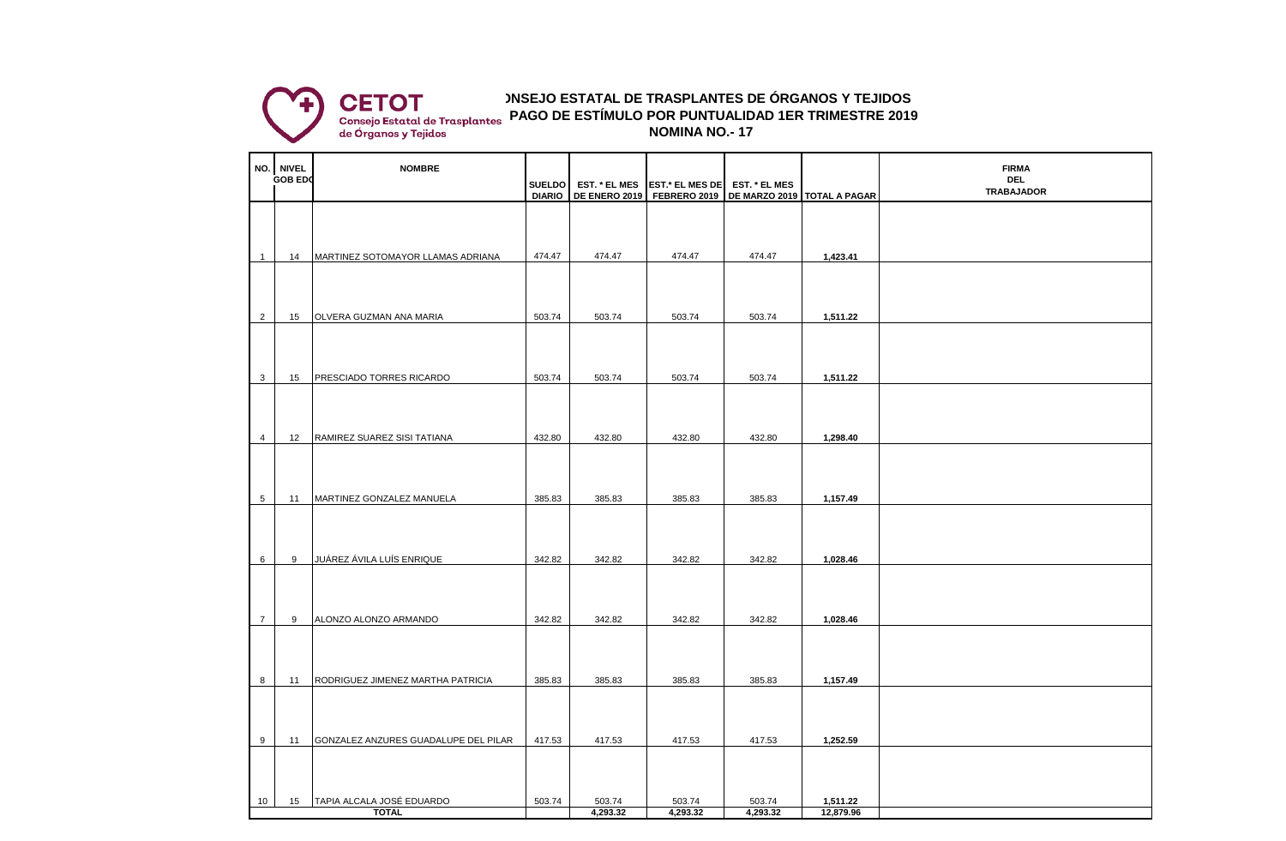

**CONSEJO ESTATAL DE TRASPLANTES DE ÓRGANOS Y TEJIDOS NOMINA NO.- 17 PAGO DE ESTÍMULO POR PUNTUALIDAD 1ER TRIMESTRE 2019**

|                | NO. NIVEL      | <b>NOMBRE</b>                        |               |                      |                                                                                        |                      |           | <b>FIRMA</b>                    |
|----------------|----------------|--------------------------------------|---------------|----------------------|----------------------------------------------------------------------------------------|----------------------|-----------|---------------------------------|
|                | <b>GOB EDO</b> | <b>SUELDO</b>                        |               | <b>EST. * EL MES</b> | <b>EST.* EL MES DE</b><br>DE ENERO 2019   FEBRERO 2019   DE MARZO 2019   TOTAL A PAGAR | <b>EST. * EL MES</b> |           | <b>DEL</b><br><b>TRABAJADOR</b> |
|                |                |                                      | <b>DIARIO</b> |                      |                                                                                        |                      |           |                                 |
|                |                |                                      |               |                      |                                                                                        |                      |           |                                 |
|                |                |                                      |               |                      |                                                                                        |                      |           |                                 |
| $\mathbf{1}$   | 14             | MARTINEZ SOTOMAYOR LLAMAS ADRIANA    | 474.47        | 474.47               | 474.47                                                                                 | 474.47               | 1,423.41  |                                 |
|                |                |                                      |               |                      |                                                                                        |                      |           |                                 |
|                |                |                                      |               |                      |                                                                                        |                      |           |                                 |
| $\overline{2}$ | 15             | OLVERA GUZMAN ANA MARIA              | 503.74        | 503.74               | 503.74                                                                                 | 503.74               | 1,511.22  |                                 |
|                |                |                                      |               |                      |                                                                                        |                      |           |                                 |
|                |                |                                      |               |                      |                                                                                        |                      |           |                                 |
|                |                |                                      |               |                      |                                                                                        |                      |           |                                 |
| $\mathbf{3}$   | 15             | PRESCIADO TORRES RICARDO             | 503.74        | 503.74               | 503.74                                                                                 | 503.74               | 1,511.22  |                                 |
|                |                |                                      |               |                      |                                                                                        |                      |           |                                 |
|                |                |                                      |               |                      |                                                                                        |                      |           |                                 |
| 4              | 12             | RAMIREZ SUAREZ SISI TATIANA          | 432.80        | 432.80               | 432.80                                                                                 | 432.80               | 1,298.40  |                                 |
|                |                |                                      |               |                      |                                                                                        |                      |           |                                 |
|                |                |                                      |               |                      |                                                                                        |                      |           |                                 |
| 5              | 11             | MARTINEZ GONZALEZ MANUELA            | 385.83        | 385.83               | 385.83                                                                                 | 385.83               | 1,157.49  |                                 |
|                |                |                                      |               |                      |                                                                                        |                      |           |                                 |
|                |                |                                      |               |                      |                                                                                        |                      |           |                                 |
|                |                |                                      |               |                      |                                                                                        |                      |           |                                 |
| $6\phantom{1}$ | 9              | JUÁREZ ÁVILA LUÍS ENRIQUE            | 342.82        | 342.82               | 342.82                                                                                 | 342.82               | 1,028.46  |                                 |
|                |                |                                      |               |                      |                                                                                        |                      |           |                                 |
|                |                |                                      |               |                      |                                                                                        |                      |           |                                 |
| $\overline{7}$ | 9              | ALONZO ALONZO ARMANDO                | 342.82        | 342.82               | 342.82                                                                                 | 342.82               | 1,028.46  |                                 |
|                |                |                                      |               |                      |                                                                                        |                      |           |                                 |
|                |                |                                      |               |                      |                                                                                        |                      |           |                                 |
|                |                |                                      |               |                      |                                                                                        |                      |           |                                 |
| 8              | 11             | RODRIGUEZ JIMENEZ MARTHA PATRICIA    | 385.83        | 385.83               | 385.83                                                                                 | 385.83               | 1,157.49  |                                 |
|                |                |                                      |               |                      |                                                                                        |                      |           |                                 |
|                |                |                                      |               |                      |                                                                                        |                      |           |                                 |
| 9              | 11             | GONZALEZ ANZURES GUADALUPE DEL PILAR | 417.53        | 417.53               | 417.53                                                                                 | 417.53               | 1,252.59  |                                 |
|                |                |                                      |               |                      |                                                                                        |                      |           |                                 |
|                |                |                                      |               |                      |                                                                                        |                      |           |                                 |
| 10             | 15             | TAPIA ALCALA JOSÉ EDUARDO            | 503.74        | 503.74               | 503.74                                                                                 | 503.74               | 1,511.22  |                                 |
|                |                | <b>TOTAL</b>                         |               | 4,293.32             | 4,293.32                                                                               | 4,293.32             | 12,879.96 |                                 |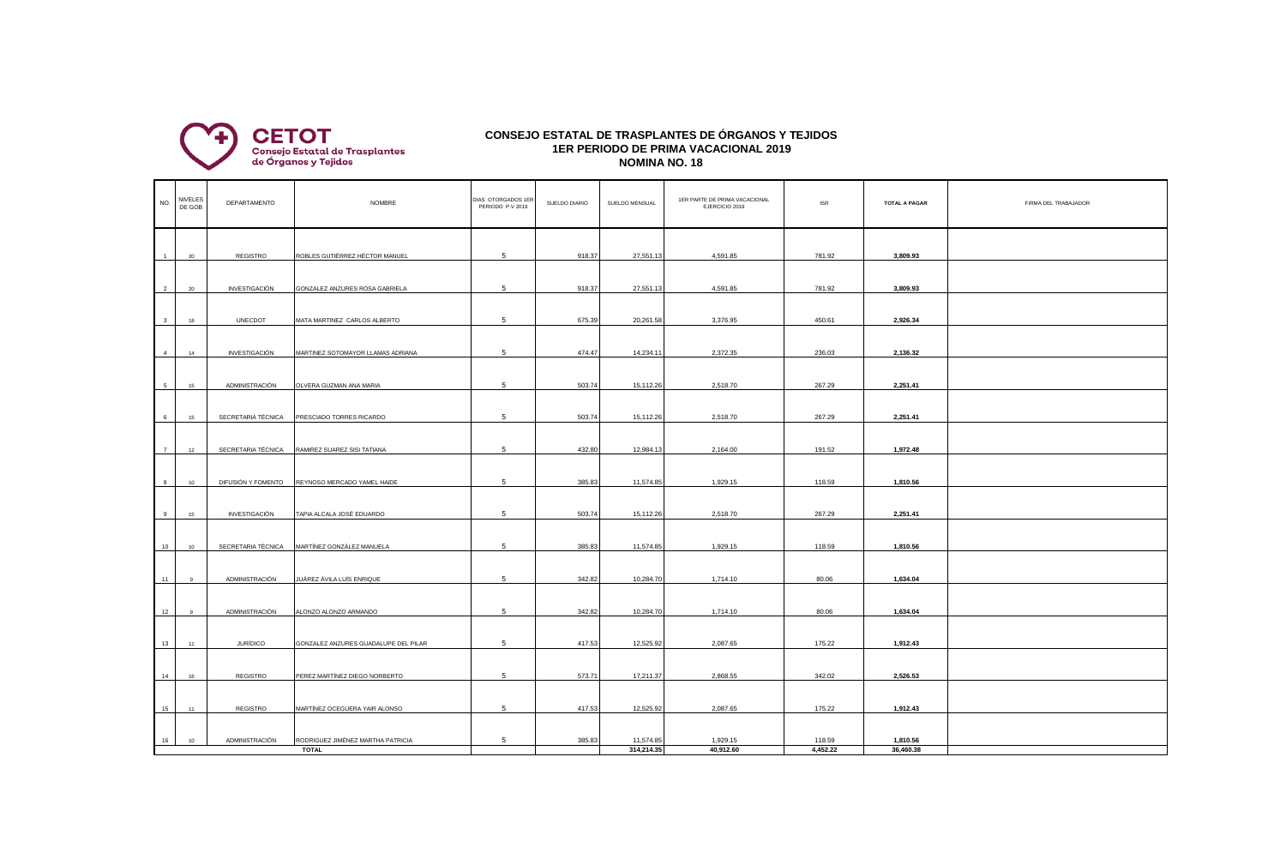

## **CONSEJO ESTATAL DE TRASPLANTES DE ÓRGANOS Y TEJIDOS 1ER PERIODO DE PRIMA VACACIONAL 2019 NOMINA NO. 18**

| NO.                     | NIVELES<br>DE GOB | DEPARTAMENTO       | <b>NOMBRE</b>                        | DIAS OTORGADOS 1ER<br>PERIODO P.V 2019 | SUELDO DIARIO | SUELDO MENSUAL | 1ER PARTE DE PRIMA VACACIONAL<br>EJERCICIO 2019 | <b>ISR</b> | <b>TOTAL A PAGAR</b> | FIRMA DEL TRABAJADOR |
|-------------------------|-------------------|--------------------|--------------------------------------|----------------------------------------|---------------|----------------|-------------------------------------------------|------------|----------------------|----------------------|
| $-1$                    | 20                | REGISTRO           | ROBLES GUTIÉRREZ HÉCTOR MANUEL       | 5                                      | 918.37        | 27,551.13      | 4,591.85                                        | 781.92     | 3,809.93             |                      |
| 2                       | 20                | INVESTIGACIÓN      | GONZALEZ ANZURES ROSA GABRIELA       | 5                                      | 918.37        | 27,551.13      | 4,591.85                                        | 781.92     | 3,809.93             |                      |
| $\overline{\mathbf{3}}$ | 18                | <b>UNECDOT</b>     | MATA MARTINEZ CARLOS ALBERTO         | 5                                      | 675.39        | 20,261.58      | 3,376.95                                        | 450.61     | 2,926.34             |                      |
|                         |                   |                    |                                      |                                        |               |                |                                                 |            |                      |                      |
| 4                       | 14                | INVESTIGACIÓN      | MARTINEZ SOTOMAYOR LLAMAS ADRIANA    | 5                                      | 474.47        | 14,234.11      | 2,372.35                                        | 236.03     | 2,136.32             |                      |
| 5                       | 15                | ADMINISTRACIÓN     | OLVERA GUZMAN ANA MARIA              | 5                                      | 503.74        | 15,112.26      | 2,518.70                                        | 267.29     | 2,251.41             |                      |
| 6                       | 15                | SECRETARIA TÉCNICA | PRESCIADO TORRES RICARDO             | 5                                      | 503.74        | 15,112.26      | 2,518.70                                        | 267.29     | 2,251.41             |                      |
|                         |                   |                    |                                      |                                        |               |                |                                                 |            |                      |                      |
| 7                       | 12                | SECRETARIA TÉCNICA | RAMIREZ SUAREZ SISI TATIANA          | 5                                      | 432.80        | 12,984.13      | 2,164.00                                        | 191.52     | 1,972.48             |                      |
| 8                       | 10                | DIFUSIÓN Y FOMENTO | REYNOSO MERCADO YAMEL HAIDE          | 5                                      | 385.83        | 11,574.85      | 1,929.15                                        | 118.59     | 1,810.56             |                      |
| 9                       | 15                | INVESTIGACIÓN      | TAPIA ALCALA JOSÉ EDUARDO            | 5                                      | 503.74        | 15,112.26      | 2,518.70                                        | 267.29     | 2,251.41             |                      |
| 10                      | 10                | SECRETARIA TÉCNICA | MARTÍNEZ GONZÁLEZ MANUELA            | 5                                      | 385.83        | 11,574.85      | 1,929.15                                        | 118.59     | 1,810.56             |                      |
|                         |                   |                    |                                      |                                        |               |                |                                                 |            |                      |                      |
| 11                      |                   | ADMINISTRACIÓN     | JUÁREZ ÁVILA LUÍS ENRIQUE            | 5                                      | 342.82        | 10,284.70      | 1,714.10                                        | 80.06      | 1,634.04             |                      |
| 12                      |                   | ADMINISTRACIÓN     | ALONZO ALONZO ARMANDO                | 5                                      | 342.82        | 10,284.70      | 1,714.10                                        | 80.06      | 1,634.04             |                      |
|                         |                   | <b>JURÍDICO</b>    |                                      | 5                                      | 417.53        | 12,525.92      | 2,087.65                                        |            |                      |                      |
| 13                      | 11                |                    | GONZALEZ ANZURES GUADALUPE DEL PILAR |                                        |               |                |                                                 | 175.22     | 1,912.43             |                      |
| 14                      | 16                | REGISTRO           | PEREZ MARTÍNEZ DIEGO NORBERTO        | 5                                      | 573.71        | 17,211.37      | 2,868.55                                        | 342.02     | 2,526.53             |                      |
| 15                      | 11                | REGISTRO           | MARTÍNEZ OCEGUERA YAIR ALONSO        | 5                                      | 417.53        | 12,525.92      | 2,087.65                                        | 175.22     | 1,912.43             |                      |
|                         |                   |                    |                                      |                                        |               |                |                                                 |            |                      |                      |
| 16                      | 10                | ADMINISTRACIÓN     | RODRIGUEZ JIMÉNEZ MARTHA PATRICIA    | 5                                      | 385.83        | 11,574.85      | 1,929.15                                        | 118.59     | 1,810.56             |                      |
|                         |                   |                    | <b>TOTAL</b>                         |                                        |               | 314,214.35     | 40,912.60                                       | 4,452.22   | 36,460.38            |                      |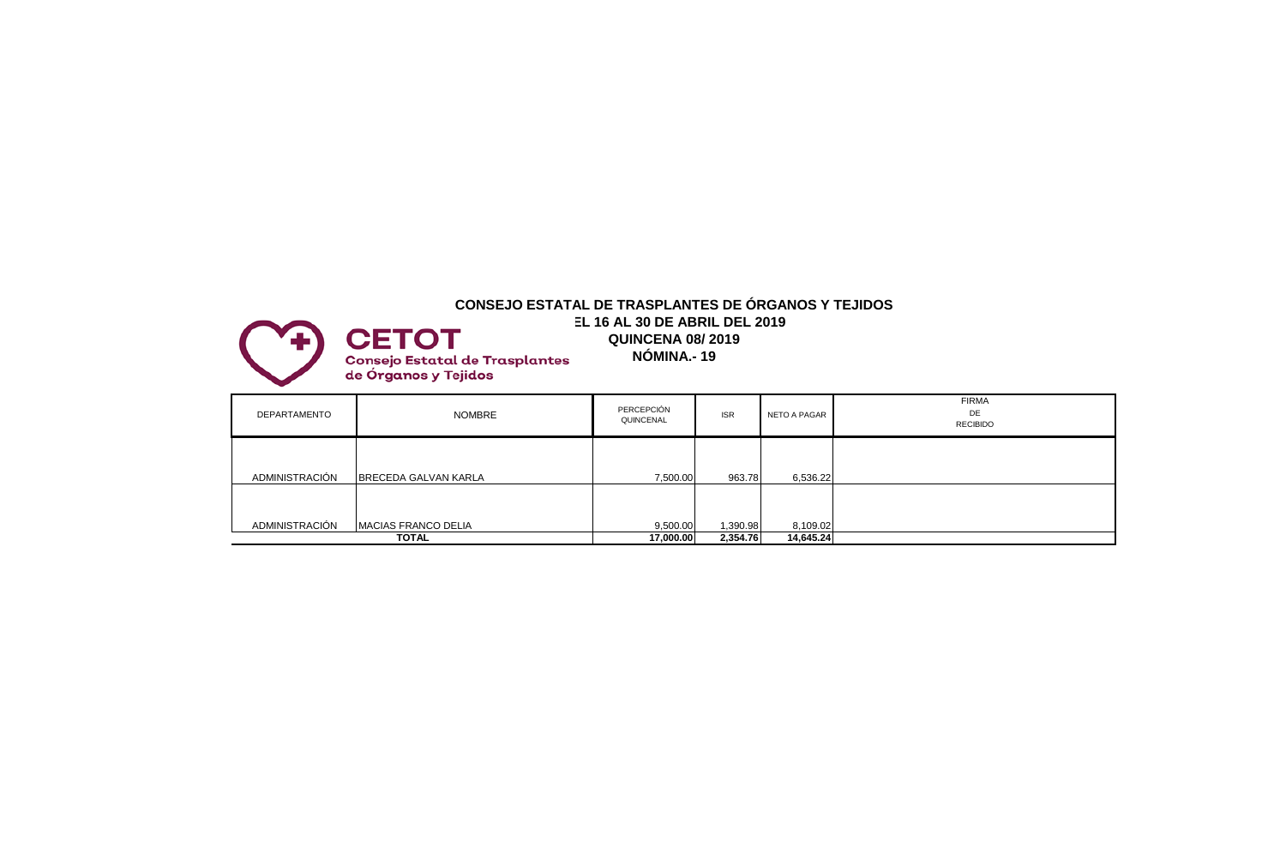# **CONSEJO ESTATAL DE TRASPLANTES DE ÓRGANOS Y TEJIDOS DEL 16 AL 30 DE ABRIL DEL 2019 CETOT QUINCENA 08/ 2019 NÓMINA.- 19 Consejo Estatal de Trasplantes<br>de Órganos y Tejidos**

| DEPARTAMENTO   | NOMBRE                      | PERCEPCIÓN<br>QUINCENAL | <b>ISR</b> | NETO A PAGAR | <b>FIRMA</b><br>DE<br><b>RECIBIDO</b> |
|----------------|-----------------------------|-------------------------|------------|--------------|---------------------------------------|
| ADMINISTRACIÓN | <b>BRECEDA GALVAN KARLA</b> | 7,500.00                | 963.78     | 6,536.22     |                                       |
| ADMINISTRACIÓN | <b>MACIAS FRANCO DELIA</b>  | 9,500.00                | 1,390.98   | 8,109.02     |                                       |
|                | <b>TOTAL</b>                | 17,000.00               | 2,354.76   | 14,645.24    |                                       |